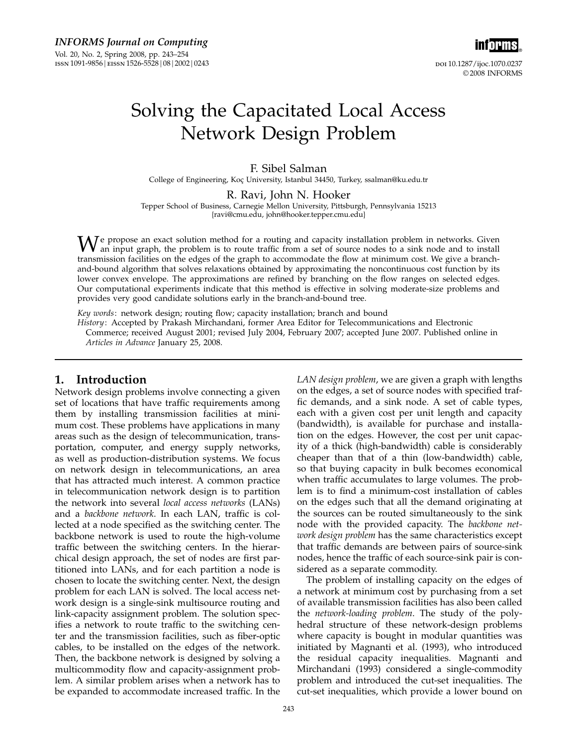

# Solving the Capacitated Local Access Network Design Problem

F. Sibel Salman College of Engineering, Koç University, Istanbul 34450, Turkey, ssalman@ku.edu.tr

R. Ravi, John N. Hooker

Tepper School of Business, Carnegie Mellon University, Pittsburgh, Pennsylvania 15213 {ravi@cmu.edu, john@hooker.tepper.cmu.edu}

 $W$ e propose an exact solution method for a routing and capacity installation problem in networks. Given an input graph, the problem is to route traffic from a set of source nodes to a sink node and to install transmission facilities on the edges of the graph to accommodate the flow at minimum cost. We give a branchand-bound algorithm that solves relaxations obtained by approximating the noncontinuous cost function by its lower convex envelope. The approximations are refined by branching on the flow ranges on selected edges. Our computational experiments indicate that this method is effective in solving moderate-size problems and provides very good candidate solutions early in the branch-and-bound tree.

Key words: network design; routing flow; capacity installation; branch and bound

History: Accepted by Prakash Mirchandani, former Area Editor for Telecommunications and Electronic Commerce; received August 2001; revised July 2004, February 2007; accepted June 2007. Published online in Articles in Advance January 25, 2008.

# 1. Introduction

Network design problems involve connecting a given set of locations that have traffic requirements among them by installing transmission facilities at minimum cost. These problems have applications in many areas such as the design of telecommunication, transportation, computer, and energy supply networks, as well as production-distribution systems. We focus on network design in telecommunications, an area that has attracted much interest. A common practice in telecommunication network design is to partition the network into several local access networks (LANs) and a backbone network. In each LAN, traffic is collected at a node specified as the switching center. The backbone network is used to route the high-volume traffic between the switching centers. In the hierarchical design approach, the set of nodes are first partitioned into LANs, and for each partition a node is chosen to locate the switching center. Next, the design problem for each LAN is solved. The local access network design is a single-sink multisource routing and link-capacity assignment problem. The solution specifies a network to route traffic to the switching center and the transmission facilities, such as fiber-optic cables, to be installed on the edges of the network. Then, the backbone network is designed by solving a multicommodity flow and capacity-assignment problem. A similar problem arises when a network has to be expanded to accommodate increased traffic. In the

LAN *design problem*, we are given a graph with lengths on the edges, a set of source nodes with specified traffic demands, and a sink node. A set of cable types, each with a given cost per unit length and capacity (bandwidth), is available for purchase and installation on the edges. However, the cost per unit capacity of a thick (high-bandwidth) cable is considerably cheaper than that of a thin (low-bandwidth) cable, so that buying capacity in bulk becomes economical when traffic accumulates to large volumes. The problem is to find a minimum-cost installation of cables on the edges such that all the demand originating at the sources can be routed simultaneously to the sink node with the provided capacity. The backbone network design problem has the same characteristics except that traffic demands are between pairs of source-sink nodes, hence the traffic of each source-sink pair is considered as a separate commodity.

The problem of installing capacity on the edges of a network at minimum cost by purchasing from a set of available transmission facilities has also been called the network-loading problem. The study of the polyhedral structure of these network-design problems where capacity is bought in modular quantities was initiated by Magnanti et al. (1993), who introduced the residual capacity inequalities. Magnanti and Mirchandani (1993) considered a single-commodity problem and introduced the cut-set inequalities. The cut-set inequalities, which provide a lower bound on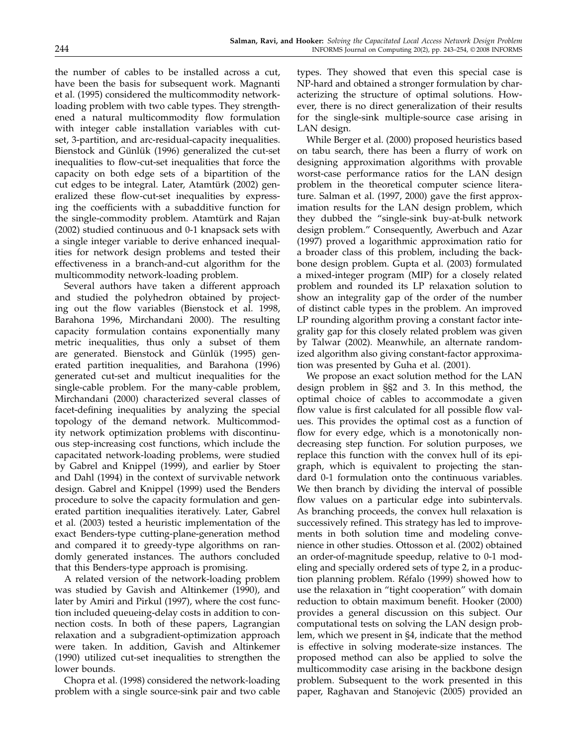the number of cables to be installed across a cut, have been the basis for subsequent work. Magnanti et al. (1995) considered the multicommodity networkloading problem with two cable types. They strengthened a natural multicommodity flow formulation with integer cable installation variables with cutset, 3-partition, and arc-residual-capacity inequalities. Bienstock and Günlük (1996) generalized the cut-set inequalities to flow-cut-set inequalities that force the capacity on both edge sets of a bipartition of the cut edges to be integral. Later, Atamtürk (2002) generalized these flow-cut-set inequalities by expressing the coefficients with a subadditive function for the single-commodity problem. Atamtürk and Rajan (2002) studied continuous and 0-1 knapsack sets with a single integer variable to derive enhanced inequalities for network design problems and tested their effectiveness in a branch-and-cut algorithm for the multicommodity network-loading problem.

Several authors have taken a different approach and studied the polyhedron obtained by projecting out the flow variables (Bienstock et al. 1998, Barahona 1996, Mirchandani 2000). The resulting capacity formulation contains exponentially many metric inequalities, thus only a subset of them are generated. Bienstock and Günlük (1995) generated partition inequalities, and Barahona (1996) generated cut-set and multicut inequalities for the single-cable problem. For the many-cable problem, Mirchandani (2000) characterized several classes of facet-defining inequalities by analyzing the special topology of the demand network. Multicommodity network optimization problems with discontinuous step-increasing cost functions, which include the capacitated network-loading problems, were studied by Gabrel and Knippel (1999), and earlier by Stoer and Dahl (1994) in the context of survivable network design. Gabrel and Knippel (1999) used the Benders procedure to solve the capacity formulation and generated partition inequalities iteratively. Later, Gabrel et al. (2003) tested a heuristic implementation of the exact Benders-type cutting-plane-generation method and compared it to greedy-type algorithms on randomly generated instances. The authors concluded that this Benders-type approach is promising.

A related version of the network-loading problem was studied by Gavish and Altinkemer (1990), and later by Amiri and Pirkul (1997), where the cost function included queueing-delay costs in addition to connection costs. In both of these papers, Lagrangian relaxation and a subgradient-optimization approach were taken. In addition, Gavish and Altinkemer (1990) utilized cut-set inequalities to strengthen the lower bounds.

Chopra et al. (1998) considered the network-loading problem with a single source-sink pair and two cable

types. They showed that even this special case is NP-hard and obtained a stronger formulation by characterizing the structure of optimal solutions. However, there is no direct generalization of their results for the single-sink multiple-source case arising in LAN design.

While Berger et al. (2000) proposed heuristics based on tabu search, there has been a flurry of work on designing approximation algorithms with provable worst-case performance ratios for the LAN design problem in the theoretical computer science literature. Salman et al. (1997, 2000) gave the first approximation results for the LAN design problem, which they dubbed the "single-sink buy-at-bulk network design problem." Consequently, Awerbuch and Azar (1997) proved a logarithmic approximation ratio for a broader class of this problem, including the backbone design problem. Gupta et al. (2003) formulated a mixed-integer program (MIP) for a closely related problem and rounded its LP relaxation solution to show an integrality gap of the order of the number of distinct cable types in the problem. An improved LP rounding algorithm proving a constant factor integrality gap for this closely related problem was given by Talwar (2002). Meanwhile, an alternate randomized algorithm also giving constant-factor approximation was presented by Guha et al. (2001).

We propose an exact solution method for the LAN design problem in §§2 and 3. In this method, the optimal choice of cables to accommodate a given flow value is first calculated for all possible flow values. This provides the optimal cost as a function of flow for every edge, which is a monotonically nondecreasing step function. For solution purposes, we replace this function with the convex hull of its epigraph, which is equivalent to projecting the standard 0-1 formulation onto the continuous variables. We then branch by dividing the interval of possible flow values on a particular edge into subintervals. As branching proceeds, the convex hull relaxation is successively refined. This strategy has led to improvements in both solution time and modeling convenience in other studies. Ottosson et al. (2002) obtained an order-of-magnitude speedup, relative to 0-1 modeling and specially ordered sets of type 2, in a production planning problem. Réfalo (1999) showed how to use the relaxation in "tight cooperation" with domain reduction to obtain maximum benefit. Hooker (2000) provides a general discussion on this subject. Our computational tests on solving the LAN design problem, which we present in §4, indicate that the method is effective in solving moderate-size instances. The proposed method can also be applied to solve the multicommodity case arising in the backbone design problem. Subsequent to the work presented in this paper, Raghavan and Stanojevic (2005) provided an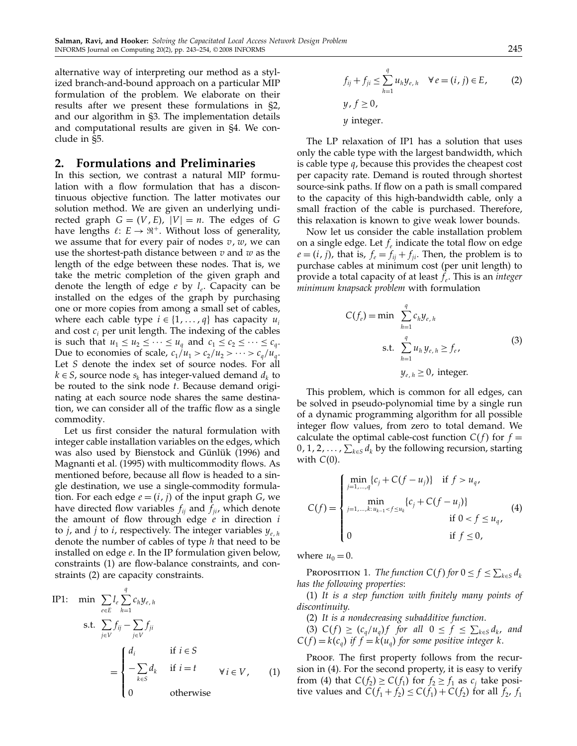alternative way of interpreting our method as a stylized branch-and-bound approach on a particular MIP formulation of the problem. We elaborate on their results after we present these formulations in §2, and our algorithm in §3. The implementation details and computational results are given in §4. We conclude in §5.

## 2. Formulations and Preliminaries

In this section, we contrast a natural MIP formulation with a flow formulation that has a discontinuous objective function. The latter motivates our solution method. We are given an underlying undirected graph  $G = (V, E), |V| = n$ . The edges of G have lengths  $\ell: E \to \mathbb{R}^+$ . Without loss of generality, we assume that for every pair of nodes  $v, w$ , we can use the shortest-path distance between  $v$  and  $w$  as the length of the edge between these nodes. That is, we take the metric completion of the given graph and denote the length of edge  $e$  by  $l_e$ . Capacity can be installed on the edges of the graph by purchasing one or more copies from among a small set of cables, where each cable type  $i \in \{1, \ldots, q\}$  has capacity  $u_i$ and cost  $c_i$  per unit length. The indexing of the cables is such that  $u_1 \leq u_2 \leq \cdots \leq u_q$  and  $c_1 \leq c_2 \leq \cdots \leq c_q$ . Due to economies of scale,  $c_1/u_1 > c_2/u_2 > \cdots > c_a/u_a$ . Let S denote the index set of source nodes. For all  $k \in S$ , source node  $s_k$  has integer-valued demand  $d_k$  to be routed to the sink node  $t$ . Because demand originating at each source node shares the same destination, we can consider all of the traffic flow as a single commodity.

Let us first consider the natural formulation with integer cable installation variables on the edges, which was also used by Bienstock and Günlük (1996) and Magnanti et al. (1995) with multicommodity flows. As mentioned before, because all flow is headed to a single destination, we use a single-commodity formulation. For each edge  $e = (i, j)$  of the input graph  $G$ , we have directed flow variables  $f_{ii}$  and  $f_{ii}$ , which denote the amount of flow through edge  $e$  in direction  $i$ to *j*, and *j* to *i*, respectively. The integer variables  $y_{e,h}$ denote the number of cables of type  $h$  that need to be installed on edge e. In the IP formulation given below, constraints (1) are flow-balance constraints, and constraints (2) are capacity constraints.

IP1: min 
$$
\sum_{e \in E} l_e \sum_{h=1}^q c_h y_{e,h}
$$
  
s.t. 
$$
\sum_{j \in V} f_{ij} - \sum_{j \in V} f_{ji}
$$

$$
= \begin{cases} d_i & \text{if } i \in S \\ -\sum_{k \in S} d_k & \text{if } i = t \\ 0 & \text{otherwise} \end{cases} \forall i \in V, \quad (1)
$$

$$
f_{ij} + f_{ji} \le \sum_{h=1}^{q} u_h y_{e,h} \quad \forall e = (i, j) \in E,
$$
 (2)

 $y, f \ge 0,$  $\psi$  integer.

The LP relaxation of IP1 has a solution that uses only the cable type with the largest bandwidth, which is cable type q, because this provides the cheapest cost per capacity rate. Demand is routed through shortest source-sink paths. If flow on a path is small compared to the capacity of this high-bandwidth cable, only a small fraction of the cable is purchased. Therefore, this relaxation is known to give weak lower bounds.

Now let us consider the cable installation problem on a single edge. Let  $f_e$  indicate the total flow on edge  $e = (i, j)$ , that is,  $f_e = f_{ij} + f_{ji}$ . Then, the problem is to purchase cables at minimum cost (per unit length) to provide a total capacity of at least  $f_e$ . This is an *integer* minimum knapsack problem with formulation

$$
C(f_e) = \min \sum_{h=1}^{q} c_h y_{e,h}
$$
  
s.t. 
$$
\sum_{h=1}^{q} u_h y_{e,h} \ge f_e,
$$
  

$$
y_{e,h} \ge 0, \text{ integer.}
$$
 (3)

This problem, which is common for all edges, can be solved in pseudo-polynomial time by a single run of a dynamic programming algorithm for all possible integer flow values, from zero to total demand. We calculate the optimal cable-cost function  $C(f)$  for  $f =$ 0, 1, 2, ...,  $\sum_{k\in S} d_k$  by the following recursion, starting with  $C(0)$ .

$$
C(f) = \begin{cases} \min_{j=1,\dots,q} \{c_j + C(f - u_j)\} & \text{if } f > u_q, \\ \min_{j=1,\dots,k: u_{k-1} < f \le u_k} \{c_j + C(f - u_j)\} & \text{if } 0 < f \le u_q, \\ 0 & \text{if } f \le 0, \end{cases} \tag{4}
$$

where  $u_0 = 0$ .

**PROPOSITION 1.** The function  $C(f)$  for  $0 \le f \le \sum_{k \in S} d_k$ has the following properties:

(1) It is a step function with finitely many points of discontinuity.

- (2) It is a nondecreasing subadditive function.
- (3)  $C(f) \ge (c_q/u_q)f$  for all  $0 \le f \le \sum_{k \in S} d_k$ , and  $C(f) = k(c_q)$  if  $f = k(u_q)$  for some positive integer k.

Proof. The first property follows from the recursion in (4). For the second property, it is easy to verify from (4) that  $C(f_2) \ge C(f_1)$  for  $f_2 \ge f_1$  as  $c_j$  take positive values and  $C(f_1 + f_2) \leq C(f_1) + C(f_2)$  for all  $f_2$ ,  $f_1$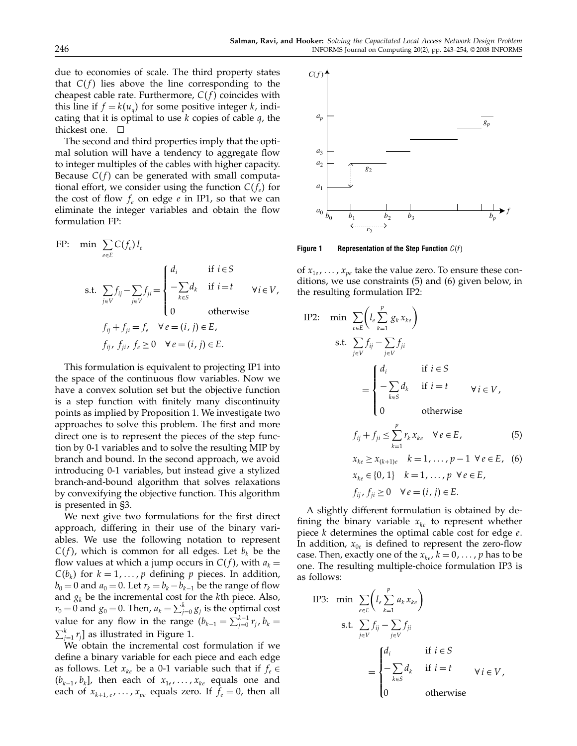due to economies of scale. The third property states that  $C(f)$  lies above the line corresponding to the cheapest cable rate. Furthermore,  $C(f)$  coincides with this line if  $f = k(u_q)$  for some positive integer k, indicating that it is optimal to use  $k$  copies of cable  $q$ , the thickest one.  $\square$ 

The second and third properties imply that the optimal solution will have a tendency to aggregate flow to integer multiples of the cables with higher capacity. Because  $C(f)$  can be generated with small computational effort, we consider using the function  $C(f_e)$  for the cost of flow  $f_e$  on edge  $e$  in IP1, so that we can eliminate the integer variables and obtain the flow formulation FP:

FP: min 
$$
\sum_{e \in E} C(f_e) l_e
$$
  
\ns.t.  $\sum_{j \in V} f_{ij} - \sum_{j \in V} f_{ji} = \begin{cases} d_i & \text{if } i \in S \\ -\sum_{k \in S} d_k & \text{if } i = t \\ 0 & \text{otherwise} \end{cases} \forall i \in V$ ,  
\n $f_{ij} + f_{ji} = f_e \quad \forall e = (i, j) \in E$ ,  
\n $f_{ij}, f_{ji}, f_e \ge 0 \quad \forall e = (i, j) \in E$ .

This formulation is equivalent to projecting IP1 into the space of the continuous flow variables. Now we have a convex solution set but the objective function is a step function with finitely many discontinuity points as implied by Proposition 1. We investigate two approaches to solve this problem. The first and more direct one is to represent the pieces of the step function by 0-1 variables and to solve the resulting MIP by branch and bound. In the second approach, we avoid introducing 0-1 variables, but instead give a stylized branch-and-bound algorithm that solves relaxations by convexifying the objective function. This algorithm is presented in §3.

We next give two formulations for the first direct approach, differing in their use of the binary variables. We use the following notation to represent  $C(f)$ , which is common for all edges. Let  $b_k$  be the flow values at which a jump occurs in  $C(f)$ , with  $a_k =$  $C(b_k)$  for  $k = 1, ..., p$  defining p pieces. In addition,  $b_0 = 0$  and  $a_0 = 0$ . Let  $r_k = b_k - b_{k-1}$  be the range of flow and  $g_k$  be the incremental cost for the kth piece. Also,  $r_0 = 0$  and  $g_0 = 0$ . Then,  $a_k = \sum_{j=0}^k g_j$  is the optimal cost value for any flow in the range  $(b_{k-1} = \sum_{j=0}^{k-1} r_j, b_k =$  $\sum_{j=1}^{k} r_j$ ] as illustrated in Figure 1.

We obtain the incremental cost formulation if we define a binary variable for each piece and each edge as follows. Let  $x_{ke}$  be a 0-1 variable such that if  $f_e \in$  $(b_{k-1}, b_k]$ , then each of  $x_{1e}, \ldots, x_{ke}$  equals one and each of  $x_{k+1,e}, \ldots, x_{pe}$  equals zero. If  $f_e = 0$ , then all



Figure 1 Representation of the Step Function  $C(f)$ 

of  $x_{1e}$ , ...,  $x_{pe}$  take the value zero. To ensure these conditions, we use constraints (5) and (6) given below, in the resulting formulation IP2:

IP2: min 
$$
\sum_{e \in E} \left( l_e \sum_{k=1}^p g_k x_{ke} \right)
$$
  
s.t. 
$$
\sum_{j \in V} f_{ij} - \sum_{j \in V} f_{ji}
$$

$$
= \begin{cases} d_i & \text{if } i \in S \\ -\sum_{k \in S} d_k & \text{if } i = t \\ 0 & \text{otherwise} \end{cases} \forall i \in V,
$$

$$
f_{ij} + f_{ji} \leq \sum_{k=1}^p r_k x_{ke} \quad \forall e \in E,
$$
(5)

$$
x_{ke} \ge x_{(k+1)e} \quad k = 1, ..., p - 1 \ \forall e \in E, \tag{6}
$$
  

$$
x_{ke} \in \{0, 1\} \quad k = 1, ..., p \ \forall e \in E,
$$
  

$$
f_{ij}, f_{ji} \ge 0 \quad \forall e = (i, j) \in E.
$$

A slightly different formulation is obtained by defining the binary variable  $x_{ke}$  to represent whether piece  $k$  determines the optimal cable cost for edge  $e$ . In addition,  $x_{0e}$  is defined to represent the zero-flow case. Then, exactly one of the  $x_{ke}$ ,  $k = 0, \ldots, p$  has to be one. The resulting multiple-choice formulation IP3 is as follows:

IP3: min 
$$
\sum_{e \in E} \left( l_e \sum_{k=1}^p a_k x_{ke} \right)
$$
  
s.t. 
$$
\sum_{j \in V} f_{ij} - \sum_{j \in V} f_{ji}
$$

$$
= \begin{cases} d_i & \text{if } i \in S \\ -\sum_{k \in S} d_k & \text{if } i = t \\ 0 & \text{otherwise} \end{cases} \forall i \in V,
$$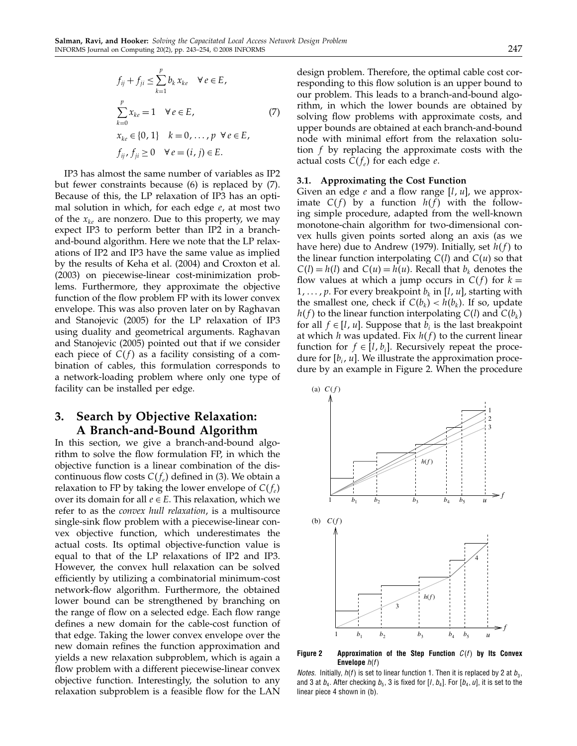$$
f_{ij} + f_{ji} \le \sum_{k=1}^{p} b_k x_{ke} \quad \forall e \in E,
$$
  

$$
\sum_{k=0}^{p} x_{ke} = 1 \quad \forall e \in E,
$$
  

$$
x_{ke} \in \{0, 1\} \quad k = 0, \dots, p \quad \forall e \in E,
$$
  

$$
f_{ij}, f_{ji} \ge 0 \quad \forall e = (i, j) \in E.
$$
 (7)

IP3 has almost the same number of variables as IP2 but fewer constraints because (6) is replaced by (7). Because of this, the LP relaxation of IP3 has an optimal solution in which, for each edge  $e$ , at most two of the  $x_{k}$  are nonzero. Due to this property, we may expect IP3 to perform better than IP2 in a branchand-bound algorithm. Here we note that the LP relaxations of IP2 and IP3 have the same value as implied by the results of Keha et al. (2004) and Croxton et al. (2003) on piecewise-linear cost-minimization problems. Furthermore, they approximate the objective function of the flow problem FP with its lower convex envelope. This was also proven later on by Raghavan and Stanojevic (2005) for the LP relaxation of IP3 using duality and geometrical arguments. Raghavan and Stanojevic (2005) pointed out that if we consider each piece of  $C(f)$  as a facility consisting of a combination of cables, this formulation corresponds to a network-loading problem where only one type of facility can be installed per edge.

# 3. Search by Objective Relaxation: A Branch-and-Bound Algorithm

In this section, we give a branch-and-bound algorithm to solve the flow formulation FP, in which the objective function is a linear combination of the discontinuous flow costs  $C(f_e)$  defined in (3). We obtain a relaxation to FP by taking the lower envelope of  $C(f_e)$ over its domain for all  $e \in E$ . This relaxation, which we refer to as the *convex hull relaxation*, is a multisource single-sink flow problem with a piecewise-linear convex objective function, which underestimates the actual costs. Its optimal objective-function value is equal to that of the LP relaxations of IP2 and IP3. However, the convex hull relaxation can be solved efficiently by utilizing a combinatorial minimum-cost network-flow algorithm. Furthermore, the obtained lower bound can be strengthened by branching on the range of flow on a selected edge. Each flow range defines a new domain for the cable-cost function of that edge. Taking the lower convex envelope over the new domain refines the function approximation and yields a new relaxation subproblem, which is again a flow problem with a different piecewise-linear convex objective function. Interestingly, the solution to any relaxation subproblem is a feasible flow for the LAN design problem. Therefore, the optimal cable cost corresponding to this flow solution is an upper bound to our problem. This leads to a branch-and-bound algorithm, in which the lower bounds are obtained by solving flow problems with approximate costs, and upper bounds are obtained at each branch-and-bound node with minimal effort from the relaxation solution f by replacing the approximate costs with the actual costs  $C(f_e)$  for each edge  $e$ .

#### 3.1. Approximating the Cost Function

Given an edge  $e$  and a flow range  $[l, u]$ , we approximate  $C(f)$  by a function  $h(f)$  with the following simple procedure, adapted from the well-known monotone-chain algorithm for two-dimensional convex hulls given points sorted along an axis (as we have here) due to Andrew (1979). Initially, set  $h(f)$  to the linear function interpolating  $C(l)$  and  $C(u)$  so that  $C(l) = h(l)$  and  $C(u) = h(u)$ . Recall that  $b_k$  denotes the flow values at which a jump occurs in  $C(f)$  for  $k =$  $1, \ldots, p$ . For every breakpoint  $b_k$  in [l, u], starting with the smallest one, check if  $C(b_k) < h(b_k)$ . If so, update  $h(f)$  to the linear function interpolating  $C(l)$  and  $C(b_k)$ for all  $f \in [l, u]$ . Suppose that  $b_i$  is the last breakpoint at which  $h$  was updated. Fix  $h(f)$  to the current linear function for  $f \in [l, b_i]$ . Recursively repeat the procedure for  $[b_i, u]$ . We illustrate the approximation procedure by an example in Figure 2. When the procedure



Figure 2  $\;\;$  Approximation of the Step Function  $C(f)$  by Its Convex Envelope  $h(f)$ 

*Notes.* Initially,  $h(f)$  is set to linear function 1. Then it is replaced by 2 at  $b_3$ , and 3 at  $b_4$ . After checking  $b_5$ , 3 is fixed for [/,  $b_4$ ]. For [ $b_4, \mathit{u}$ ], it is set to the linear piece 4 shown in (b).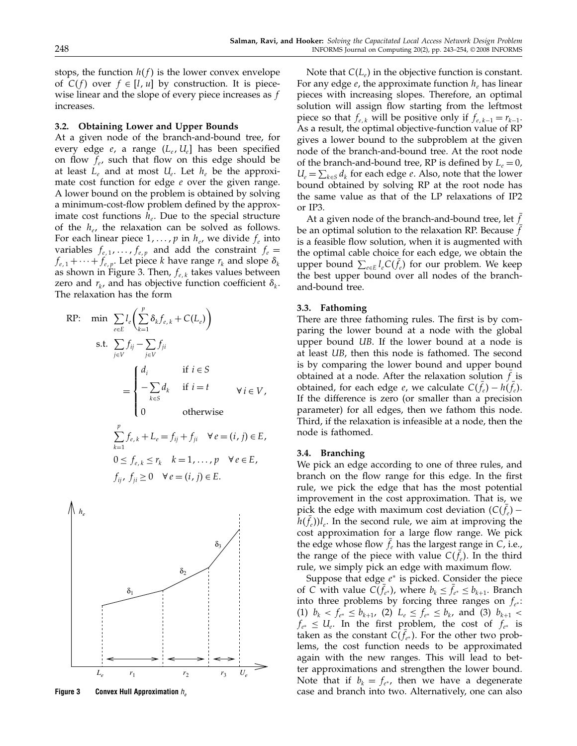stops, the function  $h(f)$  is the lower convex envelope of  $C(f)$  over  $f \in [l, u]$  by construction. It is piecewise linear and the slope of every piece increases as f increases.

## 3.2. Obtaining Lower and Upper Bounds

At a given node of the branch-and-bound tree, for every edge  $e$ , a range  $(L_e, U_e]$  has been specified on flow  $f_e$ , such that flow on this edge should be at least  $L_e$  and at most  $U_e$ . Let  $h_e$  be the approximate cost function for edge  $e$  over the given range. A lower bound on the problem is obtained by solving a minimum-cost-flow problem defined by the approximate cost functions  $h_e$ . Due to the special structure of the  $h_e$ , the relaxation can be solved as follows. For each linear piece  $1, \ldots, p$  in  $h_e$ , we divide  $f_e$  into variables  $f_{e,1}, \ldots, f_{e,p}$  and add the constraint  $f_e =$  $f_{e,1} + \cdots + f_{e,p}$ . Let piece k have range  $r_k$  and slope  $\delta_k$ as shown in Figure 3. Then,  $f_{e, k}$  takes values between zero and  $r_k$ , and has objective function coefficient  $\delta_k$ . The relaxation has the form

$$
\begin{aligned}\n\text{RP:} \quad \min \quad & \sum_{e \in E} l_e \bigg( \sum_{k=1}^p \delta_k f_{e,k} + C(L_e) \bigg) \\
\text{s.t.} \quad & \sum_{j \in V} f_{ij} - \sum_{j \in V} f_{ji} \\
& = \n\begin{cases}\n d_i & \text{if } i \in S \\
 -\sum_{k \in S} d_k & \text{if } i = t \\
 0 & \text{otherwise}\n\end{cases} \quad \forall i \in V, \\
 & \sum_{k=1}^p f_{e,k} + L_e = f_{ij} + f_{ji} \quad \forall e = (i, j) \in E, \\
 & 0 \le f_{e,k} \le r_k \quad k = 1, \dots, p \quad \forall e \in E,\n\end{aligned}
$$

 $f_{ij}, f_{ji} \ge 0 \quad \forall e = (i, j) \in E.$ 



Figure 3 Convex Hull Approximation  $h_a$ 

Note that  $C(L_e)$  in the objective function is constant. For any edge  $e$ , the approximate function  $h_e$  has linear pieces with increasing slopes. Therefore, an optimal solution will assign flow starting from the leftmost piece so that  $f_{e,k}$  will be positive only if  $f_{e,k-1} = r_{k-1}$ . As a result, the optimal objective-function value of RP gives a lower bound to the subproblem at the given node of the branch-and-bound tree. At the root node of the branch-and-bound tree, RP is defined by  $L_e = 0$ ,  $U_e = \sum_{k \in S} d_k$  for each edge e. Also, note that the lower bound obtained by solving RP at the root node has the same value as that of the LP relaxations of IP2 or IP3.

At a given node of the branch-and-bound tree, let  $f$ be an optimal solution to the relaxation RP. Because  $f$ is a feasible flow solution, when it is augmented with the optimal cable choice for each edge, we obtain the upper bound  $\sum_{e \in E} l_e C(f_e)$  for our problem. We keep the best upper bound over all nodes of the branchand-bound tree.

### 3.3. Fathoming

There are three fathoming rules. The first is by comparing the lower bound at a node with the global upper bound UB. If the lower bound at a node is at least UB, then this node is fathomed. The second is by comparing the lower bound and upper bound obtained at a node. After the relaxation solution  $f$  is obtained, for each edge *e*, we calculate  $C(f_e) - h(f_e)$ . If the difference is zero (or smaller than a precision parameter) for all edges, then we fathom this node. Third, if the relaxation is infeasible at a node, then the node is fathomed.

#### 3.4. Branching

We pick an edge according to one of three rules, and branch on the flow range for this edge. In the first rule, we pick the edge that has the most potential improvement in the cost approximation. That is, we pick the edge with maximum cost deviation  $(C(f_e)$  $h(f_e)l_e$ . In the second rule, we aim at improving the cost approximation for a large flow range. We pick the edge whose flow  $f_e$  has the largest range in C, i.e., the range of the piece with value  $C(f_e)$ . In the third rule, we simply pick an edge with maximum flow.

Suppose that edge  $e^*$  is picked. Consider the piece of C with value  $C(f_{e^*})$ , where  $b_k \leq f_{e^*} \leq b_{k+1}$ . Branch into three problems by forcing three ranges on  $f_{e^*}$ : (1)  $b_k < f_{e^*} \le b_{k+1}$ , (2)  $L_e \le f_{e^*} \le b_k$ , and (3)  $b_{k+1}$  $f_{e^*} \leq U_e$ . In the first problem, the cost of  $f_{e^*}$  is taken as the constant  $C(f_{e^*})$ . For the other two problems, the cost function needs to be approximated again with the new ranges. This will lead to better approximations and strengthen the lower bound. Note that if  $b_k = f_{e^*}$ , then we have a degenerate case and branch into two. Alternatively, one can also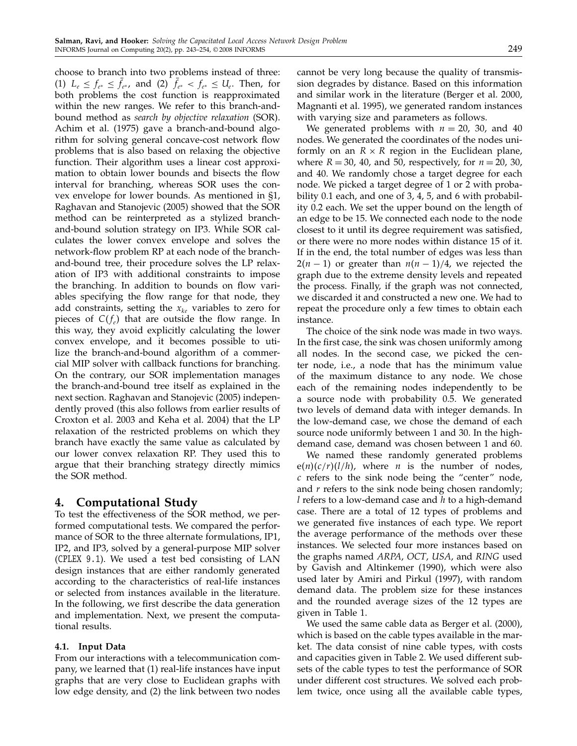choose to branch into two problems instead of three: (1)  $L_e \le f_{e^*} \le f_{e^*}$ , and (2)  $f_{e^*} < f_{e^*} \le U_e$ . Then, for both problems the cost function is reapproximated within the new ranges. We refer to this branch-andbound method as search by objective relaxation (SOR). Achim et al. (1975) gave a branch-and-bound algorithm for solving general concave-cost network flow problems that is also based on relaxing the objective function. Their algorithm uses a linear cost approximation to obtain lower bounds and bisects the flow interval for branching, whereas SOR uses the convex envelope for lower bounds. As mentioned in §1, Raghavan and Stanojevic (2005) showed that the SOR method can be reinterpreted as a stylized branchand-bound solution strategy on IP3. While SOR calculates the lower convex envelope and solves the network-flow problem RP at each node of the branchand-bound tree, their procedure solves the LP relaxation of IP3 with additional constraints to impose the branching. In addition to bounds on flow variables specifying the flow range for that node, they add constraints, setting the  $x_{ke}$  variables to zero for pieces of  $C(f_e)$  that are outside the flow range. In this way, they avoid explicitly calculating the lower convex envelope, and it becomes possible to utilize the branch-and-bound algorithm of a commercial MIP solver with callback functions for branching. On the contrary, our SOR implementation manages the branch-and-bound tree itself as explained in the next section. Raghavan and Stanojevic (2005) independently proved (this also follows from earlier results of Croxton et al. 2003 and Keha et al. 2004) that the LP relaxation of the restricted problems on which they branch have exactly the same value as calculated by our lower convex relaxation RP. They used this to argue that their branching strategy directly mimics the SOR method.

## 4. Computational Study

To test the effectiveness of the SOR method, we performed computational tests. We compared the performance of SOR to the three alternate formulations, IP1, IP2, and IP3, solved by a general-purpose MIP solver (CPLEX 9.1). We used a test bed consisting of LAN design instances that are either randomly generated according to the characteristics of real-life instances or selected from instances available in the literature. In the following, we first describe the data generation and implementation. Next, we present the computational results.

## 4.1. Input Data

From our interactions with a telecommunication company, we learned that (1) real-life instances have input graphs that are very close to Euclidean graphs with low edge density, and (2) the link between two nodes

cannot be very long because the quality of transmission degrades by distance. Based on this information and similar work in the literature (Berger et al. 2000, Magnanti et al. 1995), we generated random instances with varying size and parameters as follows.

We generated problems with  $n = 20$ , 30, and 40 nodes. We generated the coordinates of the nodes uniformly on an  $R \times R$  region in the Euclidean plane, where  $R = 30$ , 40, and 50, respectively, for  $n = 20$ , 30, and 40. We randomly chose a target degree for each node. We picked a target degree of 1 or 2 with probability 0.1 each, and one of 3, 4, 5, and 6 with probability 0.2 each. We set the upper bound on the length of an edge to be 15. We connected each node to the node closest to it until its degree requirement was satisfied, or there were no more nodes within distance 15 of it. If in the end, the total number of edges was less than  $2(n-1)$  or greater than  $n(n-1)/4$ , we rejected the graph due to the extreme density levels and repeated the process. Finally, if the graph was not connected, we discarded it and constructed a new one. We had to repeat the procedure only a few times to obtain each instance.

The choice of the sink node was made in two ways. In the first case, the sink was chosen uniformly among all nodes. In the second case, we picked the center node, i.e., a node that has the minimum value of the maximum distance to any node. We chose each of the remaining nodes independently to be a source node with probability 0.5. We generated two levels of demand data with integer demands. In the low-demand case, we chose the demand of each source node uniformly between 1 and 30. In the highdemand case, demand was chosen between 1 and 60.

We named these randomly generated problems  $e(n)(c/r)(l/h)$ , where *n* is the number of nodes,  $c$  refers to the sink node being the "center" node, and  $r$  refers to the sink node being chosen randomly;  $l$  refers to a low-demand case and  $h$  to a high-demand case. There are a total of 12 types of problems and we generated five instances of each type. We report the average performance of the methods over these instances. We selected four more instances based on the graphs named ARPA, OCT, USA, and RING used by Gavish and Altinkemer (1990), which were also used later by Amiri and Pirkul (1997), with random demand data. The problem size for these instances and the rounded average sizes of the 12 types are given in Table 1.

We used the same cable data as Berger et al. (2000), which is based on the cable types available in the market. The data consist of nine cable types, with costs and capacities given in Table 2. We used different subsets of the cable types to test the performance of SOR under different cost structures. We solved each problem twice, once using all the available cable types,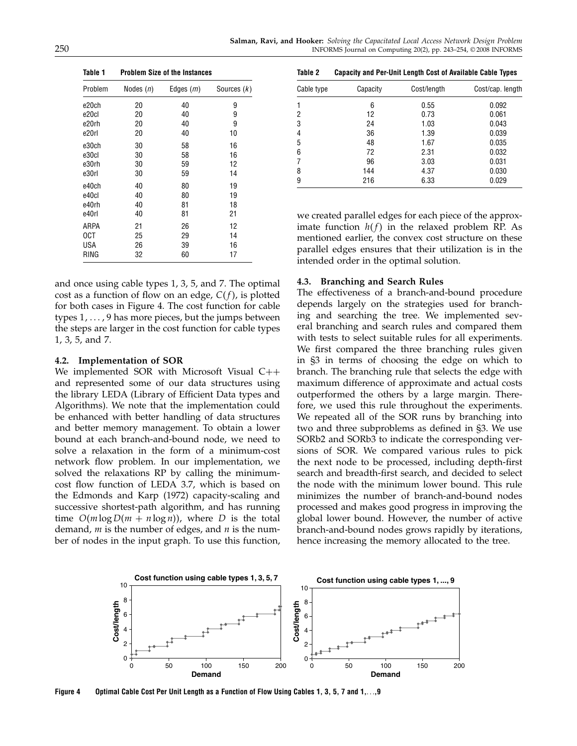| Table 1           | <b>Problem Size of the Instances</b> |             |               |  |  |  |  |  |
|-------------------|--------------------------------------|-------------|---------------|--|--|--|--|--|
| Problem           | Nodes ( <i>n</i> )                   | Edges $(m)$ | Sources $(k)$ |  |  |  |  |  |
| e20ch             | 20                                   | 40          | 9             |  |  |  |  |  |
| e <sub>20cl</sub> | 20                                   | 40          | 9             |  |  |  |  |  |
| e20rh             | 20                                   | 40          | 9             |  |  |  |  |  |
| e20rl             | 20                                   | 40          | 10            |  |  |  |  |  |
| e30ch             | 30                                   | 58          | 16            |  |  |  |  |  |
| e30cl             | 30                                   | 58          | 16            |  |  |  |  |  |
| e30rh             | 30                                   | 59          | 12            |  |  |  |  |  |
| e30rl             | 30                                   | 59          | 14            |  |  |  |  |  |
| e40ch             | 40                                   | 80          | 19            |  |  |  |  |  |
| e40cl             | 40                                   | 80          | 19            |  |  |  |  |  |
| e40rh             | 40                                   | 81          | 18            |  |  |  |  |  |
| e40rl             | 40                                   | 81          | 21            |  |  |  |  |  |
| ARPA              | 21                                   | 26          | 12            |  |  |  |  |  |
| 0CT               | 25                                   | 29          | 14            |  |  |  |  |  |
| <b>USA</b>        | 26                                   | 39          | 16            |  |  |  |  |  |
| RING              | 32                                   | 60          | 17            |  |  |  |  |  |
|                   |                                      |             |               |  |  |  |  |  |

and once using cable types 1, 3, 5, and 7. The optimal cost as a function of flow on an edge,  $C(f)$ , is plotted for both cases in Figure 4. The cost function for cable types  $1, \ldots$ , 9 has more pieces, but the jumps between the steps are larger in the cost function for cable types 1, 3, 5, and 7.

### 4.2. Implementation of SOR

We implemented SOR with Microsoft Visual  $C++$ and represented some of our data structures using the library LEDA (Library of Efficient Data types and Algorithms). We note that the implementation could be enhanced with better handling of data structures and better memory management. To obtain a lower bound at each branch-and-bound node, we need to solve a relaxation in the form of a minimum-cost network flow problem. In our implementation, we solved the relaxations RP by calling the minimumcost flow function of LEDA 3.7, which is based on the Edmonds and Karp (1972) capacity-scaling and successive shortest-path algorithm, and has running time  $O(m \log D(m + n \log n))$ , where D is the total demand,  $m$  is the number of edges, and  $n$  is the number of nodes in the input graph. To use this function,

Table 2 Capacity and Per-Unit Length Cost of Available Cable Types

| Cable type | Capacity | Cost/length | Cost/cap. length |
|------------|----------|-------------|------------------|
|            | 6        | 0.55        | 0.092            |
| 2          | 12       | 0.73        | 0.061            |
| 3          | 24       | 1.03        | 0.043            |
| 4          | 36       | 1.39        | 0.039            |
| 5          | 48       | 1.67        | 0.035            |
| 6          | 72       | 2.31        | 0.032            |
|            | 96       | 3.03        | 0.031            |
| 8          | 144      | 4.37        | 0.030            |
| 9          | 216      | 6.33        | 0.029            |

we created parallel edges for each piece of the approximate function  $h(f)$  in the relaxed problem RP. As mentioned earlier, the convex cost structure on these parallel edges ensures that their utilization is in the intended order in the optimal solution.

#### 4.3. Branching and Search Rules

The effectiveness of a branch-and-bound procedure depends largely on the strategies used for branching and searching the tree. We implemented several branching and search rules and compared them with tests to select suitable rules for all experiments. We first compared the three branching rules given in §3 in terms of choosing the edge on which to branch. The branching rule that selects the edge with maximum difference of approximate and actual costs outperformed the others by a large margin. Therefore, we used this rule throughout the experiments. We repeated all of the SOR runs by branching into two and three subproblems as defined in §3. We use SORb2 and SORb3 to indicate the corresponding versions of SOR. We compared various rules to pick the next node to be processed, including depth-first search and breadth-first search, and decided to select the node with the minimum lower bound. This rule minimizes the number of branch-and-bound nodes processed and makes good progress in improving the global lower bound. However, the number of active branch-and-bound nodes grows rapidly by iterations, hence increasing the memory allocated to the tree.



Figure 4 Optimal Cable Cost Per Unit Length as a Function of Flow Using Cables 1, 3, 5, 7 and 1,..., 9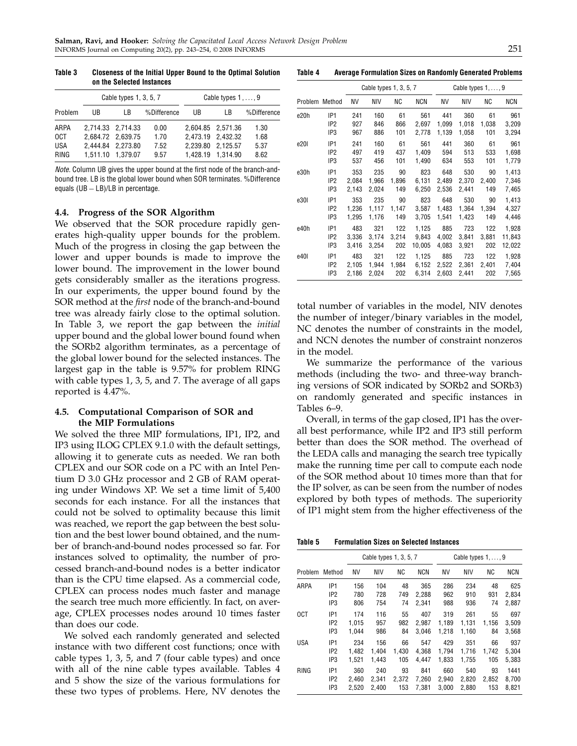|                                          |    | Cable types $1, 3, 5, 7$                                                         | Cable types 1, , 9           |     |                                                                                  |                              |
|------------------------------------------|----|----------------------------------------------------------------------------------|------------------------------|-----|----------------------------------------------------------------------------------|------------------------------|
| Problem                                  | UB | l B                                                                              | %Difference                  | UB. | LB                                                                               | %Difference                  |
| ARPA<br>0CT<br><b>USA</b><br><b>RING</b> |    | 2.714.33 2.714.33<br>2.684.72 2.639.75<br>2.444.84 2.273.80<br>1.511.10 1.379.07 | 0.00<br>1.70<br>7.52<br>9.57 |     | 2,604.85 2,571.36<br>2.473.19 2.432.32<br>2.239.80 2.125.57<br>1.428.19 1.314.90 | 1.30<br>1.68<br>5.37<br>8.62 |

Note. Column UB gives the upper bound at the first node of the branch-andbound tree. LB is the global lower bound when SOR terminates. %Difference equals (UB − LB)/LB in percentage.

### 4.4. Progress of the SOR Algorithm

We observed that the SOR procedure rapidly generates high-quality upper bounds for the problem. Much of the progress in closing the gap between the lower and upper bounds is made to improve the lower bound. The improvement in the lower bound gets considerably smaller as the iterations progress. In our experiments, the upper bound found by the SOR method at the *first* node of the branch-and-bound tree was already fairly close to the optimal solution. In Table 3, we report the gap between the *initial* upper bound and the global lower bound found when the SORb2 algorithm terminates, as a percentage of the global lower bound for the selected instances. The largest gap in the table is 9.57% for problem RING with cable types 1, 3, 5, and 7. The average of all gaps reported is 4.47%.

## 4.5. Computational Comparison of SOR and the MIP Formulations

We solved the three MIP formulations, IP1, IP2, and IP3 using ILOG CPLEX 9.1.0 with the default settings, allowing it to generate cuts as needed. We ran both CPLEX and our SOR code on a PC with an Intel Pentium D 3.0 GHz processor and 2 GB of RAM operating under Windows XP. We set a time limit of 5,400 seconds for each instance. For all the instances that could not be solved to optimality because this limit was reached, we report the gap between the best solution and the best lower bound obtained, and the number of branch-and-bound nodes processed so far. For instances solved to optimality, the number of processed branch-and-bound nodes is a better indicator than is the CPU time elapsed. As a commercial code, CPLEX can process nodes much faster and manage the search tree much more efficiently. In fact, on average, CPLEX processes nodes around 10 times faster than does our code.

We solved each randomly generated and selected instance with two different cost functions; once with cable types 1, 3, 5, and 7 (four cable types) and once with all of the nine cable types available. Tables 4 and 5 show the size of the various formulations for these two types of problems. Here, NV denotes the

Table 4 Average Formulation Sizes on Randomly Generated Problems

|         |                 |       | Cable types 1, 3, 5, 7 |       |            | Cable types $1, \ldots, 9$ |       |       |        |
|---------|-----------------|-------|------------------------|-------|------------|----------------------------|-------|-------|--------|
| Problem | Method          | ΝV    | NIV                    | ΝC    | <b>NCN</b> | ΝV                         | NIV   | ΝC    | NCN    |
| e20h    | IP <sub>1</sub> | 241   | 160                    | 61    | 561        | 441                        | 360   | 61    | 961    |
|         | IP <sub>2</sub> | 927   | 846                    | 866   | 2,697      | 1,099                      | 1,018 | 1,038 | 3,209  |
|         | IP <sub>3</sub> | 967   | 886                    | 101   | 2,778      | 1,139                      | 1,058 | 101   | 3,294  |
| e201    | IP <sub>1</sub> | 241   | 160                    | 61    | 561        | 441                        | 360   | 61    | 961    |
|         | IP <sub>2</sub> | 497   | 419                    | 437   | 1,409      | 594                        | 513   | 533   | 1,698  |
|         | IP3             | 537   | 456                    | 101   | 1,490      | 634                        | 553   | 101   | 1,779  |
| e30h    | IP <sub>1</sub> | 353   | 235                    | 90    | 823        | 648                        | 530   | 90    | 1,413  |
|         | IP <sub>2</sub> | 2,084 | 1,966                  | 1,896 | 6,131      | 2,489                      | 2,370 | 2,400 | 7,346  |
|         | IP3             | 2,143 | 2,024                  | 149   | 6,250      | 2,536                      | 2,441 | 149   | 7,465  |
| e30I    | IP <sub>1</sub> | 353   | 235                    | 90    | 823        | 648                        | 530   | 90    | 1,413  |
|         | IP <sub>2</sub> | 1,236 | 1,117                  | 1,147 | 3,587      | 1,483                      | 1,364 | 1,394 | 4,327  |
|         | IP3             | 1,295 | 1,176                  | 149   | 3,705      | 1,541                      | 1,423 | 149   | 4,446  |
| e40h    | IP <sub>1</sub> | 483   | 321                    | 122   | 1,125      | 885                        | 723   | 122   | 1,928  |
|         | IP <sub>2</sub> | 3,336 | 3,174                  | 3.214 | 9,843      | 4,002                      | 3,841 | 3,881 | 11,843 |
|         | IP3             | 3,416 | 3,254                  | 202   | 10,005     | 4,083                      | 3,921 | 202   | 12,022 |
| e40I    | IP <sub>1</sub> | 483   | 321                    | 122   | 1,125      | 885                        | 723   | 122   | 1,928  |
|         | IP <sub>2</sub> | 2,105 | 1,944                  | 1,984 | 6,152      | 2,522                      | 2,361 | 2,401 | 7,404  |
|         | IP3             | 2,186 | 2,024                  | 202   | 6,314      | 2,603                      | 2,441 | 202   | 7,565  |

total number of variables in the model, NIV denotes the number of integer/binary variables in the model, NC denotes the number of constraints in the model, and NCN denotes the number of constraint nonzeros in the model.

We summarize the performance of the various methods (including the two- and three-way branching versions of SOR indicated by SORb2 and SORb3) on randomly generated and specific instances in Tables 6–9.

Overall, in terms of the gap closed, IP1 has the overall best performance, while IP2 and IP3 still perform better than does the SOR method. The overhead of the LEDA calls and managing the search tree typically make the running time per call to compute each node of the SOR method about 10 times more than that for the IP solver, as can be seen from the number of nodes explored by both types of methods. The superiority of IP1 might stem from the higher effectiveness of the

Table 5 Formulation Sizes on Selected Instances

|             |                 |       |       | Cable types 1, 3, 5, 7 |            | Cable types $1, \ldots, 9$ |            |       |            |
|-------------|-----------------|-------|-------|------------------------|------------|----------------------------|------------|-------|------------|
| Problem     | Method          | NV    | NIV   | ΝC                     | <b>NCN</b> | <b>NV</b>                  | <b>NIV</b> | ΝC    | <b>NCN</b> |
| ARPA        | IP <sub>1</sub> | 156   | 104   | 48                     | 365        | 286                        | 234        | 48    | 625        |
|             | IP <sub>2</sub> | 780   | 728   | 749                    | 2,288      | 962                        | 910        | 931   | 2,834      |
|             | IP3             | 806   | 754   | 74                     | 2.341      | 988                        | 936        | 74    | 2,887      |
| 0CT         | IP <sub>1</sub> | 174   | 116   | 55                     | 407        | 319                        | 261        | 55    | 697        |
|             | IP <sub>2</sub> | 1.015 | 957   | 982                    | 2.987      | 1.189                      | 1.131      | 1,156 | 3,509      |
|             | IP <sub>3</sub> | 1.044 | 986   | 84                     | 3,046      | 1,218                      | 1,160      | 84    | 3,568      |
| <b>USA</b>  | IP <sub>1</sub> | 234   | 156   | 66                     | 547        | 429                        | 351        | 66    | 937        |
|             | IP <sub>2</sub> | 1.482 | 1.404 | 1.430                  | 4.368      | 1.794                      | 1.716      | 1,742 | 5.304      |
|             | IP3             | 1,521 | 1,443 | 105                    | 4,447      | 1,833                      | 1,755      | 105   | 5,383      |
| <b>RING</b> | IP <sub>1</sub> | 360   | 240   | 93                     | 841        | 660                        | 540        | 93    | 1441       |
|             | IP <sub>2</sub> | 2,460 | 2.341 | 2,372                  | 7,260      | 2,940                      | 2,820      | 2,852 | 8,700      |
|             | IP <sub>3</sub> | 2.520 | 2,400 | 153                    | 7.381      | 3.000                      | 2,880      | 153   | 8,821      |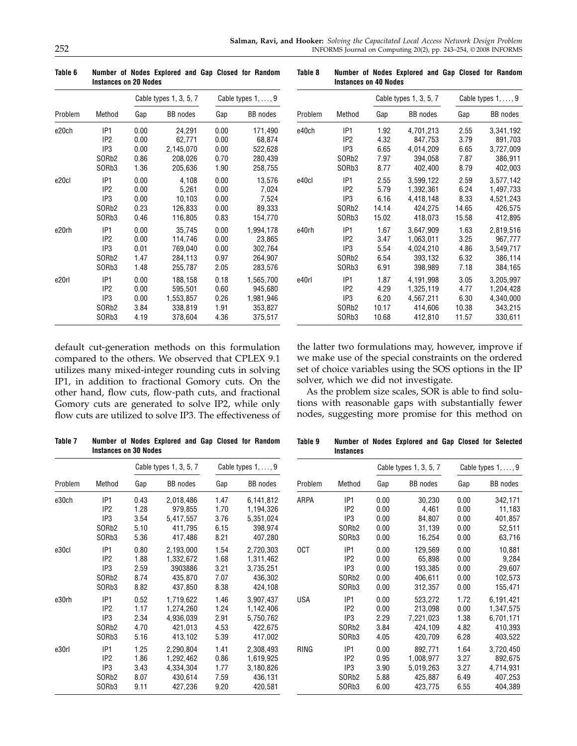|         |                    |      | Cable types 1, 3, 5, 7 |      | Cable types $1, \ldots, 9$ |  |  |
|---------|--------------------|------|------------------------|------|----------------------------|--|--|
| Problem | Method             | Gap  | <b>BB</b> nodes        | Gap  | <b>BB</b> nodes            |  |  |
| e20ch   | IP <sub>1</sub>    | 0.00 | 24,291                 | 0.00 | 171,490                    |  |  |
|         | IP <sub>2</sub>    | 0.00 | 62.771                 | 0.00 | 68,874                     |  |  |
|         | IP3                | 0.00 | 2,145,070              | 0.00 | 522,628                    |  |  |
|         | SOR <sub>b</sub> 2 | 0.86 | 208,026                | 0.70 | 280,439                    |  |  |
|         | SORb3              | 1.36 | 205,636                | 1.90 | 258,755                    |  |  |
| e20cl   | IP <sub>1</sub>    | 0.00 | 4,108                  | 0.00 | 13,576                     |  |  |
|         | IP <sub>2</sub>    | 0.00 | 5,261                  | 0.00 | 7,024                      |  |  |
|         | IP <sub>3</sub>    | 0.00 | 10,103                 | 0.00 | 7,524                      |  |  |
|         | SOR <sub>b</sub> 2 | 0.23 | 126,833                | 0.00 | 89,333                     |  |  |
|         | SORb3              | 0.46 | 116,805                | 0.83 | 154,770                    |  |  |
| e20rh   | IP <sub>1</sub>    | 0.00 | 35.745                 | 0.00 | 1,994,178                  |  |  |
|         | IP <sub>2</sub>    | 0.00 | 114.746                | 0.00 | 23,865                     |  |  |
|         | IP <sub>3</sub>    | 0.01 | 769,040                | 0.00 | 302,764                    |  |  |
|         | SOR <sub>b</sub> 2 | 1.47 | 284,113                | 0.97 | 264,907                    |  |  |
|         | SORb3              | 1.48 | 255,787                | 2.05 | 283,576                    |  |  |
| e20rl   | IP <sub>1</sub>    | 0.00 | 188,158                | 0.18 | 1,565,700                  |  |  |
|         | IP <sub>2</sub>    | 0.00 | 595,501                | 0.60 | 945,680                    |  |  |
|         | IP3                | 0.00 | 1,553,857              | 0.26 | 1,981,946                  |  |  |
|         | SORb <sub>2</sub>  | 3.84 | 338,819                | 1.91 | 353,827                    |  |  |
|         | SORb3              | 4.19 | 378,604                | 4.36 | 375,517                    |  |  |

Table 6 Number of Nodes Explored and Gap Closed for Random Instances on 20 Nodes

Table 8 Number of Nodes Explored and Gap Closed for Random Instances on 40 Nodes

|         |                    |       | Cable types 1, 3, 5, 7 | Cable types $1, \ldots, 9$ |                 |  |
|---------|--------------------|-------|------------------------|----------------------------|-----------------|--|
| Problem | Method             | Gap   | <b>BB</b> nodes        | Gap                        | <b>BB</b> nodes |  |
| e40ch   | IP <sub>1</sub>    | 1.92  | 4,701,213              | 2.55                       | 3,341,192       |  |
|         | IP <sub>2</sub>    | 4.32  | 847,753                | 3.79                       | 891,703         |  |
|         | IP <sub>3</sub>    | 6.65  | 4,014,209              | 6.65                       | 3,727,009       |  |
|         | SOR <sub>b</sub> 2 | 7.97  | 394,058                | 7.87                       | 386,911         |  |
|         | SOR <sub>b3</sub>  | 8.77  | 402,400                | 8.79                       | 402,003         |  |
| e40cl   | IP <sub>1</sub>    | 2.55  | 3,599,122              | 2.59                       | 3,577,142       |  |
|         | IP <sub>2</sub>    | 5.79  | 1,392,361              | 6.24                       | 1,497,733       |  |
|         | IP <sub>3</sub>    | 6.16  | 4,418,148              | 8.33                       | 4,521,243       |  |
|         | SOR <sub>b</sub> 2 | 14.14 | 424,275                | 14.65                      | 426,575         |  |
|         | SORb <sub>3</sub>  | 15.02 | 418,073                | 15.58                      | 412,895         |  |
| e40rh   | IP <sub>1</sub>    | 1.67  | 3,647,909              | 1.63                       | 2,819,516       |  |
|         | IP <sub>2</sub>    | 3.47  | 1,063,011              | 3.25                       | 967,777         |  |
|         | IP <sub>3</sub>    | 5.54  | 4,024,210              | 4.86                       | 3,549,717       |  |
|         | SOR <sub>b</sub> 2 | 6.54  | 393,132                | 6.32                       | 386,114         |  |
|         | SORb <sub>3</sub>  | 6.91  | 398,989                | 7.18                       | 384,165         |  |
| e40rl   | IP <sub>1</sub>    | 1.87  | 4,191,998              | 3.05                       | 3,205,997       |  |
|         | IP <sub>2</sub>    | 4.29  | 1,325,119              | 4.77                       | 1,204,428       |  |
|         | IP <sub>3</sub>    | 6.20  | 4,567,211              | 6.30                       | 4,340,000       |  |
|         | SOR <sub>b</sub> 2 | 10.17 | 414,606                | 10.38                      | 343,215         |  |
|         | SORb3              | 10.68 | 412,810                | 11.57                      | 330,611         |  |

default cut-generation methods on this formulation compared to the others. We observed that CPLEX 9.1 utilizes many mixed-integer rounding cuts in solving IP1, in addition to fractional Gomory cuts. On the other hand, flow cuts, flow-path cuts, and fractional Gomory cuts are generated to solve IP2, while only flow cuts are utilized to solve IP3. The effectiveness of the latter two formulations may, however, improve if we make use of the special constraints on the ordered set of choice variables using the SOS options in the IP solver, which we did not investigate.

As the problem size scales, SOR is able to find solutions with reasonable gaps with substantially fewer nodes, suggesting more promise for this method on

Table 7 Number of Nodes Explored and Gap Closed for Random Instances on 30 Nodes

Table 9 Number of Nodes Explored and Gap Closed for Selected Instances

|                    |                 | Cable types 1, 3, 5, 7 |         | Cable types $1, \ldots, 9$ |            |                    | Cable types 1, 3, 5, 7          |                 |       | Cable types $1, \ldots, 9$ |
|--------------------|-----------------|------------------------|---------|----------------------------|------------|--------------------|---------------------------------|-----------------|-------|----------------------------|
| Method             | Gap             | BB nodes               | Gap     | BB nodes                   | Problem    | Method             | Gap                             | <b>BB</b> nodes | Gap   | <b>BB</b> nodes            |
| IP <sub>1</sub>    | 0.43            | 2,018,486              | 1.47    | 6,141,812                  | ARPA       | IP <sub>1</sub>    | 0.00                            | 30,230          | 0.00  | 342,171                    |
|                    |                 |                        |         | 1,194,326                  |            |                    |                                 |                 |       | 11,183                     |
| IP3                | 3.54            | 5,417,557              | 3.76    | 5,351,024                  |            | IP3                | 0.00                            | 84,807          | 0.00  | 401,857                    |
| SOR <sub>b2</sub>  | 5.10            | 411,795                | 6.15    | 398,974                    |            | SOR <sub>b</sub> 2 | 0.00                            | 31,139          | 0.00  | 52,511                     |
| SORb3              | 5.36            | 417,486                | 8.21    | 407,280                    |            | SORb3              | 0.00                            | 16,254          | 0.00  | 63,716                     |
| IP <sub>1</sub>    | 0.80            | 2,193,000              | 1.54    | 2,720,303                  | 0CT        | IP <sub>1</sub>    | 0.00                            | 129,569         | 0.00  | 10,881                     |
| IP <sub>2</sub>    | 1.88            | 1,332,672              | 1.68    | 1,311,462                  |            | IP <sub>2</sub>    | 0.00                            | 65,898          | 0.00  | 9,284                      |
| IP <sub>3</sub>    | 2.59            | 3903886                | 3.21    | 3,735,251                  |            | IP <sub>3</sub>    | 0.00                            | 193,385         | 0.00  | 29,607                     |
| SOR <sub>b</sub> 2 | 8.74            | 435,870                | 7.07    | 436,302                    |            | SOR <sub>b</sub> 2 | 0.00                            | 406,611         | 0.00  | 102,573                    |
| SORb3              | 8.82            | 437,850                | 8.38    | 424,108                    |            | SORb3              | 0.00                            | 312,357         | 0.00  | 155,471                    |
| IP <sub>1</sub>    | 0.52            | 1,719,622              | 1.46    | 3,907,437                  | <b>USA</b> | IP <sub>1</sub>    | 0.00                            | 523,272         | 1.72  | 6,191,421                  |
| IP <sub>2</sub>    | 1.17            | 1,274,260              | 1.24    | 1,142,406                  |            | IP <sub>2</sub>    | 0.00                            | 213,098         | 0.00  | 1,347,575                  |
| IP3                | 2.34            | 4,936,039              | 2.91    | 5,750,762                  |            | IP3                | 2.29                            | 7,221,023       | 1.38  | 6,701,171                  |
| SOR <sub>b</sub> 2 | 4.70            | 421,013                | 4.53    | 422,675                    |            | SOR <sub>b</sub> 2 | 3.84                            | 424,109         | 4.82  | 410,393                    |
| SORb3              | 5.16            | 413,102                | 5.39    | 417,002                    |            | SORb3              | 4.05                            | 420,709         | 6.28  | 403,522                    |
| IP <sub>1</sub>    | 1.25            | 2,290,804              | 1.41    | 2,308,493                  | RING       | IP <sub>1</sub>    | 0.00                            | 892,771         | 1.64  | 3,720,450                  |
| IP <sub>2</sub>    | 1.86            | 1,292,462              | 0.86    | 1,619,925                  |            | IP <sub>2</sub>    | 0.95                            | 1,008,977       | 3.27  | 892,675                    |
| IP3                | 3.43            | 4,334,304              | 1.77    | 3,180,826                  |            | IP <sub>3</sub>    | 3.90                            | 5,019,263       | 3.27  | 4,714,931                  |
| SOR <sub>b2</sub>  | 8.07            | 430,614                | 7.59    | 436,131                    |            | SOR <sub>b</sub> 2 | 5.88                            | 425,887         | 6.49  | 407,253                    |
| SORb3              | 9.11            | 427,236                | 9.20    | 420,581                    |            | SORb3              | 6.00                            | 423,775         | 6.55  | 404,389                    |
|                    | IP <sub>2</sub> | 1.28                   | 979,855 | 1.70                       |            |                    | ,,,,,,,,,,,,<br>IP <sub>2</sub> | 0.00            | 4,461 | 0.00                       |

Cable types  $1, \ldots, 9$ Gap BB nodes ARPA IP1 000 30 230 000 342 171  $0.00$  11,183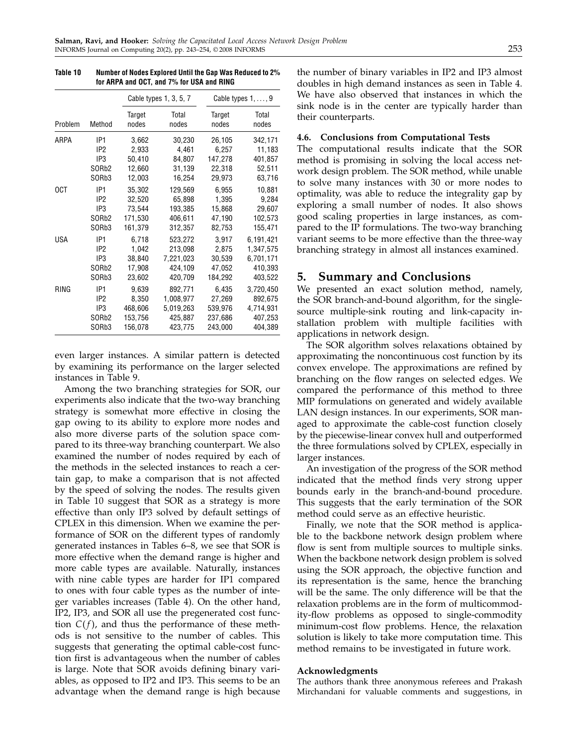|             |                    |                 | Cable types 1, 3, 5, 7 | Cable types $1, \ldots, 9$ |                |  |
|-------------|--------------------|-----------------|------------------------|----------------------------|----------------|--|
| Problem     | Method             | Target<br>nodes | Total<br>nodes         | Target<br>nodes            | Total<br>nodes |  |
| ARPA        | IP1                | 3,662           | 30,230                 | 26,105                     | 342,171        |  |
|             | IP <sub>2</sub>    | 2,933           | 4,461                  | 6,257                      | 11,183         |  |
|             | IP <sub>3</sub>    | 50,410          | 84,807                 | 147,278                    | 401,857        |  |
|             | SOR <sub>b</sub> 2 | 12,660          | 31,139                 | 22,318                     | 52,511         |  |
|             | SORb3              | 12,003          | 16,254                 | 29,973                     | 63,716         |  |
| 0CT         | IP1                | 35,302          | 129,569                | 6,955                      | 10,881         |  |
|             | IP <sub>2</sub>    | 32,520          | 65,898                 | 1,395                      | 9,284          |  |
|             | IP <sub>3</sub>    | 73,544          | 193,385                | 15,868                     | 29,607         |  |
|             | SOR <sub>b</sub> 2 | 171,530         | 406,611                | 47,190                     | 102,573        |  |
|             | SORb3              | 161,379         | 312,357                | 82,753                     | 155,471        |  |
| <b>USA</b>  | IP1                | 6,718           | 523,272                | 3,917                      | 6,191,421      |  |
|             | IP <sub>2</sub>    | 1,042           | 213,098                | 2,875                      | 1,347,575      |  |
|             | IP <sub>3</sub>    | 38,840          | 7,221,023              | 30,539                     | 6,701,171      |  |
|             | SOR <sub>b</sub> 2 | 17,908          | 424,109                | 47,052                     | 410,393        |  |
|             | SORb3              | 23,602          | 420,709                | 184,292                    | 403,522        |  |
| <b>RING</b> | IP1                | 9,639           | 892,771                | 6,435                      | 3,720,450      |  |
|             | IP <sub>2</sub>    | 8,350           | 1,008,977              | 27,269                     | 892,675        |  |
|             | IP <sub>3</sub>    | 468,606         | 5,019,263              | 539,976                    | 4,714,931      |  |
|             | SOR <sub>b</sub> 2 | 153,756         | 425,887                | 237,686                    | 407,253        |  |
|             | SORb3              | 156,078         | 423,775                | 243,000                    | 404,389        |  |

Table 10 Number of Nodes Explored Until the Gap Was Reduced to 2% for ARPA and OCT, and 7% for USA and RING

even larger instances. A similar pattern is detected by examining its performance on the larger selected instances in Table 9.

Among the two branching strategies for SOR, our experiments also indicate that the two-way branching strategy is somewhat more effective in closing the gap owing to its ability to explore more nodes and also more diverse parts of the solution space compared to its three-way branching counterpart. We also examined the number of nodes required by each of the methods in the selected instances to reach a certain gap, to make a comparison that is not affected by the speed of solving the nodes. The results given in Table 10 suggest that SOR as a strategy is more effective than only IP3 solved by default settings of CPLEX in this dimension. When we examine the performance of SOR on the different types of randomly generated instances in Tables 6–8, we see that SORis more effective when the demand range is higher and more cable types are available. Naturally, instances with nine cable types are harder for IP1 compared to ones with four cable types as the number of integer variables increases (Table 4). On the other hand, IP2, IP3, and SORall use the pregenerated cost function  $C(f)$ , and thus the performance of these methods is not sensitive to the number of cables. This suggests that generating the optimal cable-cost function first is advantageous when the number of cables is large. Note that SOR avoids defining binary variables, as opposed to IP2 and IP3. This seems to be an advantage when the demand range is high because

the number of binary variables in IP2 and IP3 almost doubles in high demand instances as seen in Table 4. We have also observed that instances in which the sink node is in the center are typically harder than their counterparts.

## 4.6. Conclusions from Computational Tests

The computational results indicate that the SOR method is promising in solving the local access network design problem. The SOR method, while unable to solve many instances with 30 or more nodes to optimality, was able to reduce the integrality gap by exploring a small number of nodes. It also shows good scaling properties in large instances, as compared to the IP formulations. The two-way branching variant seems to be more effective than the three-way branching strategy in almost all instances examined.

## 5. Summary and Conclusions

We presented an exact solution method, namely, the SOR branch-and-bound algorithm, for the singlesource multiple-sink routing and link-capacity installation problem with multiple facilities with applications in network design.

The SOR algorithm solves relaxations obtained by approximating the noncontinuous cost function by its convex envelope. The approximations are refined by branching on the flow ranges on selected edges. We compared the performance of this method to three MIP formulations on generated and widely available LAN design instances. In our experiments, SOR managed to approximate the cable-cost function closely by the piecewise-linear convex hull and outperformed the three formulations solved by CPLEX, especially in larger instances.

An investigation of the progress of the SOR method indicated that the method finds very strong upper bounds early in the branch-and-bound procedure. This suggests that the early termination of the SOR method could serve as an effective heuristic.

Finally, we note that the SOR method is applicable to the backbone network design problem where flow is sent from multiple sources to multiple sinks. When the backbone network design problem is solved using the SOR approach, the objective function and its representation is the same, hence the branching will be the same. The only difference will be that the relaxation problems are in the form of multicommodity-flow problems as opposed to single-commodity minimum-cost flow problems. Hence, the relaxation solution is likely to take more computation time. This method remains to be investigated in future work.

## Acknowledgments

The authors thank three anonymous referees and Prakash Mirchandani for valuable comments and suggestions, in